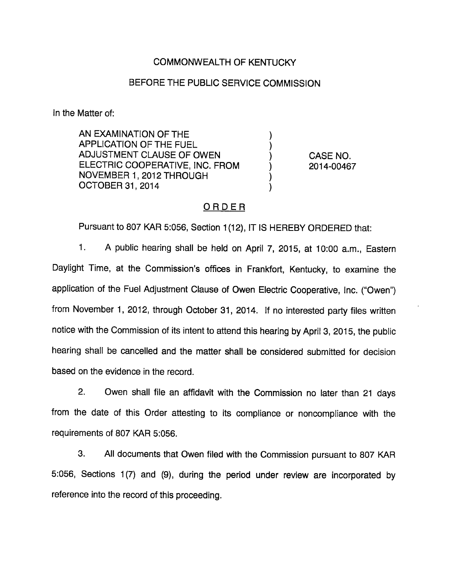## COMMONWEALTH OF KENTUCKY

### BEFORE THE PUBLIC SERVICE COMMISSION

In the Matter of:

AN EXAMINATION OF THE APPLICATION OF THE FUEL ADJUSTMENT CLAUSE OF OWEN ELECTRIC COOPERATIVE, INC. FROM NOVEMBER 1, 2012 THROUGH OCTOBER 31, 2014

CASE NO. 2014-00467

#### ORDER

 $\mathcal{E}$ 

Pursuant to 807 KAR 5:056, Section 1(12), IT IS HEREBY ORDERED that:

1. A public hearing shall be held on April 7, 2015, at 10:00 a.m.. Eastern Daylight Time, at the Commission's offices in Frankfort, Kentucky, to examine the application of the Fuel Adjustment Clause of Owen Electric Cooperative, Inc. ("Owen") from November 1, 2012, through October 31, 2014. If no interested party files written notice with the Commission of its intent to attend this hearing by April 3, 2015, the public hearing shall be cancelled and the matter shall be considered submitted for decision based on the evidence in the record.

2. Owen shall file an affidavit with the Commission no later than 21 days from the date of this Order attesting to its compliance or noncompliance with the requirements of 807 KAR 5:056.

3. All documents that Owen filed with the Commission pursuant to 807 KAR 5:056, Sections 1(7) and (9), during the period under review are incorporated by reference into the record of this proceeding.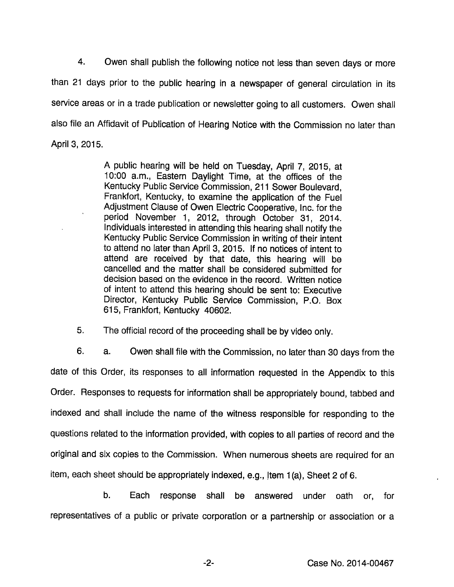4. Owen shall publish the following notice not less than seven days or more than 21 days prior to the public hearing in a newspaper of general circulation in its service areas or in a trade publication or newsletter going to all customers. Owen shall also file an Affidavit of Publication of Hearing Notice with the Commission no later than April 3, 2015.

> A public hearing will be held on Tuesday, April 7, 2015, at 10:00 a.m., Eastem Daylight Time, at the offices of the Kentucky Public Service Commission, 211 Sower Boulevard, Frankfort, Kentucky, to examine the application of the Fuel Adjustment Clause of Owen Electric Cooperative, Inc. for the period November 1, 2012, through October 31, 2014. Individuals interested in attending this hearing shall notify the Kentucky Public Service Commission in writing of their intent to attend no later than April 3, 2015. If no notices of intent to attend are received by that date, this hearing will be cancelled and the matter shall be considered submitted for decision based on the evidence in the record. Written notice of intent to attend this hearing should be sent to: Executive Director, Kentucky Public Service Commission, P.O. Box 615, Frankfort, Kentucky 40602.

5. The official record of the proceeding shall be by video only.

6. a. Owen shall file with the Commission, no later than 30 days from the date of this Order, its responses to all information requested in the Appendix to this Order. Responses to requests for information shall be appropriately bound, tabbed and indexed and shall include the name of the witness responsible for responding to the questions related to the information provided, with copies to all parties of record and the original and six copies to the Commission. When numerous sheets are required for an item, each sheet should be appropriately indexed, e.g., jtem 1(a). Sheet 2 of 6.

b. Each response shall be answered under oath or, for representatives of a public or private corporation or a partnership or association or a

-2- Case No. 2014-00467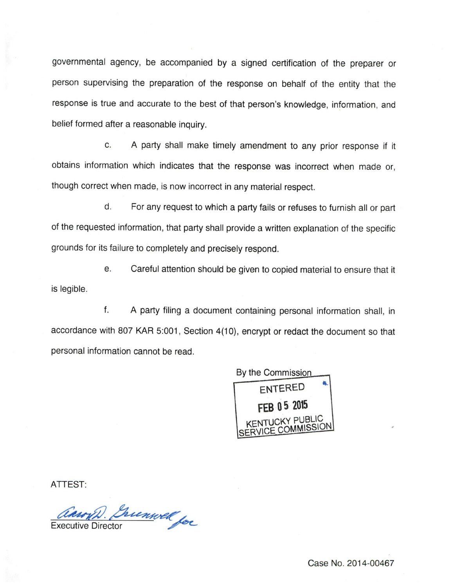governmental agency, be accompanied by a signed certification of the preparer or person supervising the preparation of the response on behalf of the entity that the response is true and accurate to the best of that person's knowledge, information, and belief formed after a reasonable inquiry.

c. A party shall make timely amendment to any prior response if it obtains information which indicates that the response was incorrect when made or, though correct when made, is now incorrect in any material respect.

d. For any request to which a party fails or refuses to furnish all or part of the requested information, that party shall provide a written explanation of the specific grounds for its failure to completely and precisely respond.

e. Careful attention should be given to copied material to ensure that it is legible.

f. A party filing a document containing personal information shall, in accordance with 807 KAR 5:001, Section 4(10), encrypt or redact the document so that personal information cannot be read.



ATTEST:

anny). Inconvel for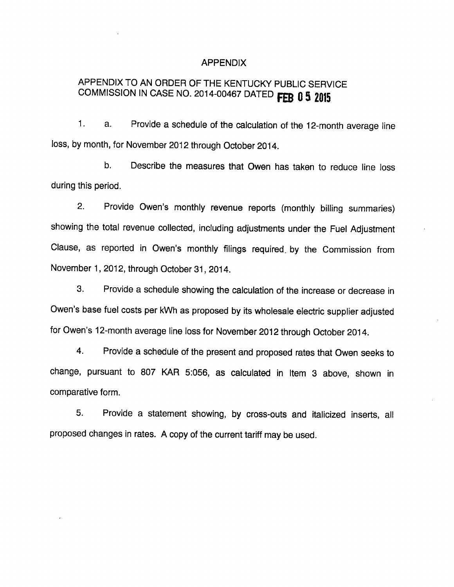#### APPENDIX

# APPENDIX TO AN ORDER OF THE KENTUCKY PUBLIC SERVICE COMMISSION IN CASE NO. 2014-00467 DATED FEB 0 5 2015

1. a. Provide a schedule of the calculation of the 12-month average line loss, by month, for November 2012 through October 2014.

b. Describe the measures that Owen has taken to reduce line loss during this period.

2. Provide Owen's monthly revenue reports (monthly billing summaries) showing the total revenue collected, including adjustments under the Fuel Adjustment Clause, as reported in Owen's monthly filings required, by the Commission from November 1, 2012, through October 31, 2014.

3. Provide a schedule showing the calculation of the increase or decrease in Owen's base fuel costs per kWh as proposed by its wholesale electric supplier adjusted for Owen's 12-month average line loss for November 2012 through October 2014.

4. Provide a schedule of the present and proposed rates that Owen seeks to change, pursuant to 807 KAR 5:056, as calculated in Item 3 above, shown in comparative form.

5. Provide a statement showing, by cross-outs and italicized inserts, all proposed changes in rates. A copy of the current tariff may be used.